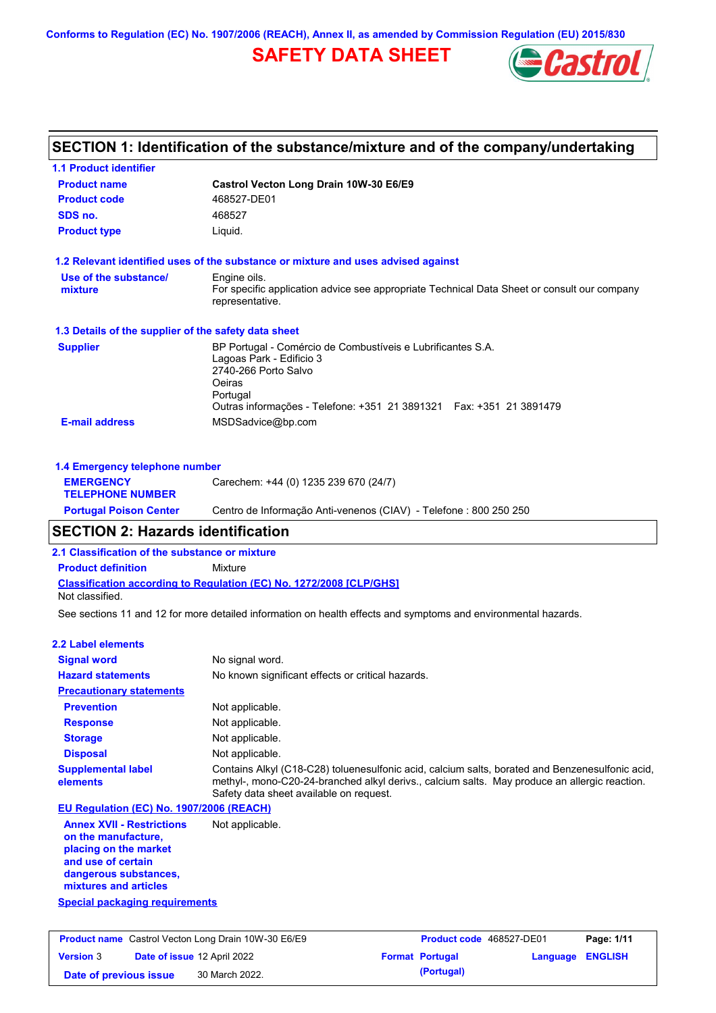**Conforms to Regulation (EC) No. 1907/2006 (REACH), Annex II, as amended by Commission Regulation (EU) 2015/830**

## **SAFETY DATA SHEET**



### **Castrol Vecton Long Drain 10W-30 E6/E9 Product name 1.1 Product identifier 1.3 Details of the supplier of the safety data sheet Product type Liquid. E-mail address** MSDSadvice@bp.com **1.2 Relevant identified uses of the substance or mixture and uses advised against SECTION 1: Identification of the substance/mixture and of the company/undertaking Product code** 468527-DE01 **1.4 Emergency telephone number EMERGENCY TELEPHONE NUMBER** Carechem: +44 (0) 1235 239 670 (24/7) **Supplier** BP Portugal - Comércio de Combustíveis e Lubrificantes S.A. Lagoas Park - Edificio 3 2740-266 Porto Salvo Oeiras Portugal Outras informações - Telefone: +351 21 3891321 Fax: +351 21 3891479 **SDS no.** 468527 **Use of the substance/ mixture** Engine oils. For specific application advice see appropriate Technical Data Sheet or consult our company representative.

# **Portugal Poison Center** Centro de Informação Anti-venenos (CIAV) - Telefone : 800 250 250

## **SECTION 2: Hazards identification**

**2.1 Classification of the substance or mixture**

**Classification according to Regulation (EC) No. 1272/2008 [CLP/GHS] Product definition** Mixture Not classified.

See sections 11 and 12 for more detailed information on health effects and symptoms and environmental hazards.

#### **2.2 Label elements**

| <b>Signal word</b><br><b>Hazard statements</b>                                   | No signal word.<br>No known significant effects or critical hazards.                                                                                                                                                                        |
|----------------------------------------------------------------------------------|---------------------------------------------------------------------------------------------------------------------------------------------------------------------------------------------------------------------------------------------|
| <b>Precautionary statements</b>                                                  |                                                                                                                                                                                                                                             |
| <b>Prevention</b>                                                                | Not applicable.                                                                                                                                                                                                                             |
| <b>Response</b>                                                                  | Not applicable.                                                                                                                                                                                                                             |
| <b>Storage</b>                                                                   | Not applicable.                                                                                                                                                                                                                             |
| <b>Disposal</b>                                                                  | Not applicable.                                                                                                                                                                                                                             |
| <b>Supplemental label</b><br>elements                                            | Contains Alkyl (C18-C28) toluenesulfonic acid, calcium salts, borated and Benzenesulfonic acid,<br>methyl-, mono-C20-24-branched alkyl derivs., calcium salts. May produce an allergic reaction.<br>Safety data sheet available on request. |
| EU Regulation (EC) No. 1907/2006 (REACH)                                         |                                                                                                                                                                                                                                             |
| <b>Annex XVII - Restrictions</b><br>on the manufacture,<br>placing on the market | Not applicable.                                                                                                                                                                                                                             |

**and use of certain dangerous substances, mixtures and articles**

### **Special packaging requirements**

|                        | <b>Product name</b> Castrol Vecton Long Drain 10W-30 E6/E9 | Product code 468527-DE01 |                         | Page: 1/11 |
|------------------------|------------------------------------------------------------|--------------------------|-------------------------|------------|
| <b>Version 3</b>       | Date of issue 12 April 2022                                | <b>Format Portugal</b>   | <b>Language ENGLISH</b> |            |
| Date of previous issue | 30 March 2022.                                             | (Portugal)               |                         |            |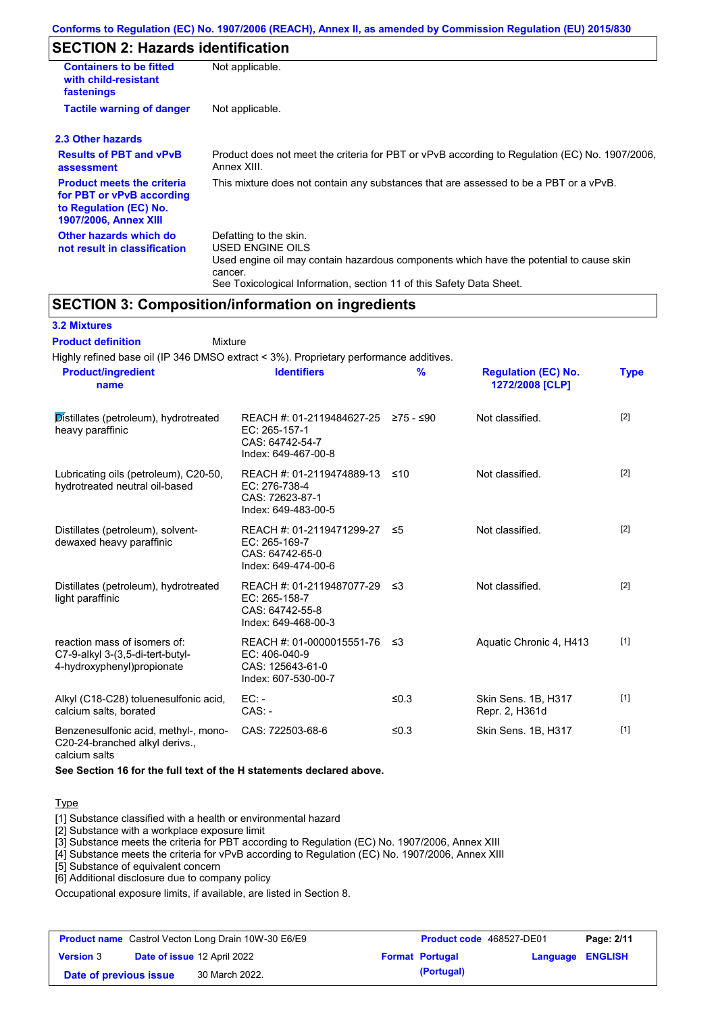## **SECTION 2: Hazards identification**

| <b>Containers to be fitted</b><br>with child-resistant<br>fastenings                                                     | Not applicable.                                                                                                                                                                                                          |
|--------------------------------------------------------------------------------------------------------------------------|--------------------------------------------------------------------------------------------------------------------------------------------------------------------------------------------------------------------------|
| <b>Tactile warning of danger</b>                                                                                         | Not applicable.                                                                                                                                                                                                          |
| 2.3 Other hazards                                                                                                        |                                                                                                                                                                                                                          |
| <b>Results of PBT and vPvB</b><br>assessment                                                                             | Product does not meet the criteria for PBT or vPvB according to Regulation (EC) No. 1907/2006,<br>Annex XIII.                                                                                                            |
| <b>Product meets the criteria</b><br>for PBT or vPvB according<br>to Regulation (EC) No.<br><b>1907/2006, Annex XIII</b> | This mixture does not contain any substances that are assessed to be a PBT or a vPvB.                                                                                                                                    |
| Other hazards which do<br>not result in classification                                                                   | Defatting to the skin.<br>USED ENGINE OILS<br>Used engine oil may contain hazardous components which have the potential to cause skin<br>cancer.<br>See Toxicological Information, section 11 of this Safety Data Sheet. |

## **SECTION 3: Composition/information on ingredients**

| <b>3.2 Mixtures</b>                                                                            |                                                                                                |               |                                               |             |
|------------------------------------------------------------------------------------------------|------------------------------------------------------------------------------------------------|---------------|-----------------------------------------------|-------------|
| <b>Product definition</b><br><b>Mixture</b>                                                    |                                                                                                |               |                                               |             |
| Highly refined base oil (IP 346 DMSO extract < 3%). Proprietary performance additives.         |                                                                                                |               |                                               |             |
| <b>Product/ingredient</b><br>name                                                              | <b>Identifiers</b>                                                                             | $\frac{9}{6}$ | <b>Regulation (EC) No.</b><br>1272/2008 [CLP] | <b>Type</b> |
| Distillates (petroleum), hydrotreated<br>heavy paraffinic                                      | REACH #: 01-2119484627-25 ≥75 - ≤90<br>EC: 265-157-1<br>CAS: 64742-54-7<br>Index: 649-467-00-8 |               | Not classified.                               | $[2]$       |
| Lubricating oils (petroleum), C20-50,<br>hydrotreated neutral oil-based                        | REACH #: 01-2119474889-13<br>EC: 276-738-4<br>CAS: 72623-87-1<br>Index: 649-483-00-5           | ≤10           | Not classified.                               | [2]         |
| Distillates (petroleum), solvent-<br>dewaxed heavy paraffinic                                  | REACH #: 01-2119471299-27 ≤5<br>EC: 265-169-7<br>CAS: 64742-65-0<br>Index: 649-474-00-6        |               | Not classified.                               | $[2]$       |
| Distillates (petroleum), hydrotreated<br>light paraffinic                                      | REACH #: 01-2119487077-29 ≤3<br>EC: 265-158-7<br>CAS: 64742-55-8<br>Index: 649-468-00-3        |               | Not classified.                               | $[2]$       |
| reaction mass of isomers of:<br>C7-9-alkyl 3-(3,5-di-tert-butyl-<br>4-hydroxyphenyl)propionate | REACH #: 01-0000015551-76 ≤3<br>EC: 406-040-9<br>CAS: 125643-61-0<br>Index: 607-530-00-7       |               | Aquatic Chronic 4, H413                       | $[1]$       |
| Alkyl (C18-C28) toluenesulfonic acid,<br>calcium salts, borated                                | $EC: -$<br>$CAS. -$                                                                            | ≤0.3          | Skin Sens. 1B, H317<br>Repr. 2, H361d         | $[1]$       |
| Benzenesulfonic acid, methyl-, mono-<br>C20-24-branched alkyl derivs.,<br>calcium salts        | CAS: 722503-68-6                                                                               | ≤0.3          | Skin Sens. 1B, H317                           | $[1]$       |

**See Section 16 for the full text of the H statements declared above.**

#### Type

[1] Substance classified with a health or environmental hazard

[2] Substance with a workplace exposure limit

[3] Substance meets the criteria for PBT according to Regulation (EC) No. 1907/2006, Annex XIII

[4] Substance meets the criteria for vPvB according to Regulation (EC) No. 1907/2006, Annex XIII

[5] Substance of equivalent concern

[6] Additional disclosure due to company policy

Occupational exposure limits, if available, are listed in Section 8.

|                        | <b>Product name</b> Castrol Vecton Long Drain 10W-30 E6/E9 | Product code 468527-DE01 |                  | Page: 2/11 |
|------------------------|------------------------------------------------------------|--------------------------|------------------|------------|
| <b>Version 3</b>       | <b>Date of issue 12 April 2022</b>                         | <b>Format Portugal</b>   | Language ENGLISH |            |
| Date of previous issue | 30 March 2022.                                             | (Portugal)               |                  |            |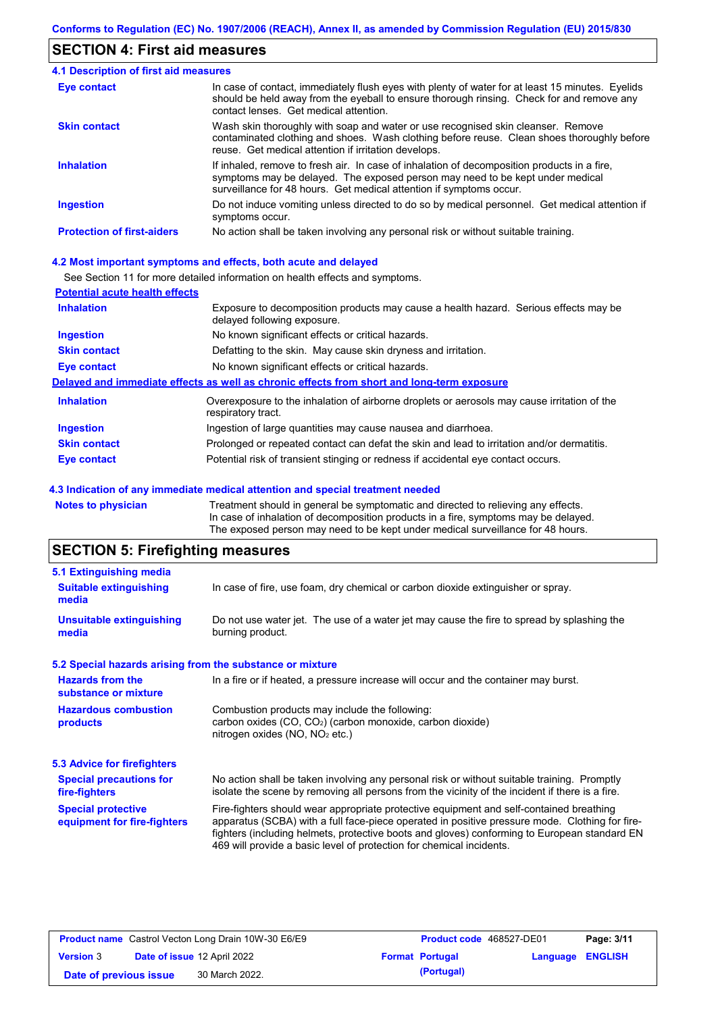## **SECTION 4: First aid measures**

| 4.1 Description of first aid measures |                                                                                                                                                                                                                                                     |
|---------------------------------------|-----------------------------------------------------------------------------------------------------------------------------------------------------------------------------------------------------------------------------------------------------|
| Eye contact                           | In case of contact, immediately flush eyes with plenty of water for at least 15 minutes. Eyelids<br>should be held away from the eyeball to ensure thorough rinsing. Check for and remove any<br>contact lenses. Get medical attention.             |
| <b>Skin contact</b>                   | Wash skin thoroughly with soap and water or use recognised skin cleanser. Remove<br>contaminated clothing and shoes. Wash clothing before reuse. Clean shoes thoroughly before<br>reuse. Get medical attention if irritation develops.              |
| <b>Inhalation</b>                     | If inhaled, remove to fresh air. In case of inhalation of decomposition products in a fire,<br>symptoms may be delayed. The exposed person may need to be kept under medical<br>surveillance for 48 hours. Get medical attention if symptoms occur. |
| <b>Ingestion</b>                      | Do not induce vomiting unless directed to do so by medical personnel. Get medical attention if<br>symptoms occur.                                                                                                                                   |
| <b>Protection of first-aiders</b>     | No action shall be taken involving any personal risk or without suitable training.                                                                                                                                                                  |

#### **4.2 Most important symptoms and effects, both acute and delayed**

See Section 11 for more detailed information on health effects and symptoms.

| <b>Potential acute health effects</b> |                                                                                                                     |
|---------------------------------------|---------------------------------------------------------------------------------------------------------------------|
| <b>Inhalation</b>                     | Exposure to decomposition products may cause a health hazard. Serious effects may be<br>delayed following exposure. |
| <b>Ingestion</b>                      | No known significant effects or critical hazards.                                                                   |
| <b>Skin contact</b>                   | Defatting to the skin. May cause skin dryness and irritation.                                                       |
| <b>Eye contact</b>                    | No known significant effects or critical hazards.                                                                   |
|                                       | Delayed and immediate effects as well as chronic effects from short and long-term exposure                          |
| <b>Inhalation</b>                     | Overexposure to the inhalation of airborne droplets or aerosols may cause irritation of the<br>respiratory tract.   |
| <b>Ingestion</b>                      | Ingestion of large quantities may cause nausea and diarrhoea.                                                       |
| <b>Skin contact</b>                   | Prolonged or repeated contact can defat the skin and lead to irritation and/or dermatitis.                          |
| Eye contact                           | Potential risk of transient stinging or redness if accidental eye contact occurs.                                   |
|                                       |                                                                                                                     |

#### **4.3 Indication of any immediate medical attention and special treatment needed**

**Notes to physician** Treatment should in general be symptomatic and directed to relieving any effects. In case of inhalation of decomposition products in a fire, symptoms may be delayed. The exposed person may need to be kept under medical surveillance for 48 hours.

# **SECTION 5: Firefighting measures**

| 5.1 Extinguishing media                                   |                                                                                                                                                                                                                                                                                                                                                                   |
|-----------------------------------------------------------|-------------------------------------------------------------------------------------------------------------------------------------------------------------------------------------------------------------------------------------------------------------------------------------------------------------------------------------------------------------------|
| <b>Suitable extinguishing</b><br>media                    | In case of fire, use foam, dry chemical or carbon dioxide extinguisher or spray.                                                                                                                                                                                                                                                                                  |
| <b>Unsuitable extinguishing</b><br>media                  | Do not use water jet. The use of a water jet may cause the fire to spread by splashing the<br>burning product.                                                                                                                                                                                                                                                    |
| 5.2 Special hazards arising from the substance or mixture |                                                                                                                                                                                                                                                                                                                                                                   |
| <b>Hazards from the</b><br>substance or mixture           | In a fire or if heated, a pressure increase will occur and the container may burst.                                                                                                                                                                                                                                                                               |
| <b>Hazardous combustion</b><br>products                   | Combustion products may include the following:<br>carbon oxides $(CO, CO2)$ (carbon monoxide, carbon dioxide)<br>nitrogen oxides ( $NO$ , $NO2$ etc.)                                                                                                                                                                                                             |
| 5.3 Advice for firefighters                               |                                                                                                                                                                                                                                                                                                                                                                   |
| <b>Special precautions for</b><br>fire-fighters           | No action shall be taken involving any personal risk or without suitable training. Promptly<br>isolate the scene by removing all persons from the vicinity of the incident if there is a fire.                                                                                                                                                                    |
| <b>Special protective</b><br>equipment for fire-fighters  | Fire-fighters should wear appropriate protective equipment and self-contained breathing<br>apparatus (SCBA) with a full face-piece operated in positive pressure mode. Clothing for fire-<br>fighters (including helmets, protective boots and gloves) conforming to European standard EN<br>469 will provide a basic level of protection for chemical incidents. |

|                        | <b>Product name</b> Castrol Vecton Long Drain 10W-30 E6/E9 | <b>Product code</b> 468527-DE01 |                  | Page: 3/11 |
|------------------------|------------------------------------------------------------|---------------------------------|------------------|------------|
| <b>Version 3</b>       | <b>Date of issue 12 April 2022</b>                         | <b>Format Portugal</b>          | Language ENGLISH |            |
| Date of previous issue | 30 March 2022.                                             | (Portugal)                      |                  |            |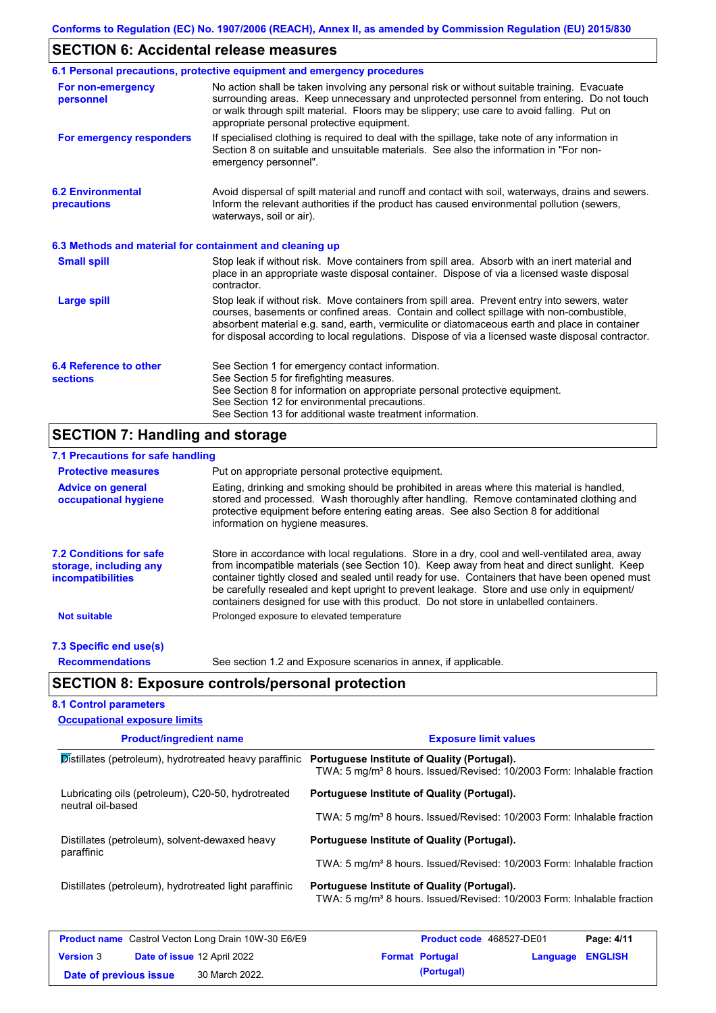## **SECTION 6: Accidental release measures**

|                                                          | 6.1 Personal precautions, protective equipment and emergency procedures                                                                                                                                                                                                                                                                                                                        |
|----------------------------------------------------------|------------------------------------------------------------------------------------------------------------------------------------------------------------------------------------------------------------------------------------------------------------------------------------------------------------------------------------------------------------------------------------------------|
| For non-emergency<br>personnel                           | No action shall be taken involving any personal risk or without suitable training. Evacuate<br>surrounding areas. Keep unnecessary and unprotected personnel from entering. Do not touch<br>or walk through spilt material. Floors may be slippery; use care to avoid falling. Put on<br>appropriate personal protective equipment.                                                            |
| For emergency responders                                 | If specialised clothing is required to deal with the spillage, take note of any information in<br>Section 8 on suitable and unsuitable materials. See also the information in "For non-<br>emergency personnel".                                                                                                                                                                               |
| <b>6.2 Environmental</b><br>precautions                  | Avoid dispersal of spilt material and runoff and contact with soil, waterways, drains and sewers.<br>Inform the relevant authorities if the product has caused environmental pollution (sewers,<br>waterways, soil or air).                                                                                                                                                                    |
| 6.3 Methods and material for containment and cleaning up |                                                                                                                                                                                                                                                                                                                                                                                                |
| <b>Small spill</b>                                       | Stop leak if without risk. Move containers from spill area. Absorb with an inert material and<br>place in an appropriate waste disposal container. Dispose of via a licensed waste disposal<br>contractor.                                                                                                                                                                                     |
| <b>Large spill</b>                                       | Stop leak if without risk. Move containers from spill area. Prevent entry into sewers, water<br>courses, basements or confined areas. Contain and collect spillage with non-combustible,<br>absorbent material e.g. sand, earth, vermiculite or diatomaceous earth and place in container<br>for disposal according to local regulations. Dispose of via a licensed waste disposal contractor. |
| 6.4 Reference to other<br><b>sections</b>                | See Section 1 for emergency contact information.<br>See Section 5 for firefighting measures.<br>See Section 8 for information on appropriate personal protective equipment.<br>See Section 12 for environmental precautions.<br>See Section 13 for additional waste treatment information.                                                                                                     |

# **SECTION 7: Handling and storage**

| 7.1 Precautions for safe handling                                                    |                                                                                                                                                                                                                                                                                                                                                                                                                                                                                          |
|--------------------------------------------------------------------------------------|------------------------------------------------------------------------------------------------------------------------------------------------------------------------------------------------------------------------------------------------------------------------------------------------------------------------------------------------------------------------------------------------------------------------------------------------------------------------------------------|
| <b>Protective measures</b>                                                           | Put on appropriate personal protective equipment.                                                                                                                                                                                                                                                                                                                                                                                                                                        |
| <b>Advice on general</b><br>occupational hygiene                                     | Eating, drinking and smoking should be prohibited in areas where this material is handled,<br>stored and processed. Wash thoroughly after handling. Remove contaminated clothing and<br>protective equipment before entering eating areas. See also Section 8 for additional<br>information on hygiene measures.                                                                                                                                                                         |
| <b>7.2 Conditions for safe</b><br>storage, including any<br><i>incompatibilities</i> | Store in accordance with local regulations. Store in a dry, cool and well-ventilated area, away<br>from incompatible materials (see Section 10). Keep away from heat and direct sunlight. Keep<br>container tightly closed and sealed until ready for use. Containers that have been opened must<br>be carefully resealed and kept upright to prevent leakage. Store and use only in equipment/<br>containers designed for use with this product. Do not store in unlabelled containers. |
| <b>Not suitable</b>                                                                  | Prolonged exposure to elevated temperature                                                                                                                                                                                                                                                                                                                                                                                                                                               |
| 7.3 Specific end use(s)                                                              |                                                                                                                                                                                                                                                                                                                                                                                                                                                                                          |
| <b>Recommendations</b>                                                               | See section 1.2 and Exposure scenarios in annex, if applicable.                                                                                                                                                                                                                                                                                                                                                                                                                          |
|                                                                                      | <b>SECTION 8: Exposure controls/personal protection</b>                                                                                                                                                                                                                                                                                                                                                                                                                                  |
| <b>8.1 Control parameters</b>                                                        |                                                                                                                                                                                                                                                                                                                                                                                                                                                                                          |
| <b>Occupational exposure limits</b>                                                  |                                                                                                                                                                                                                                                                                                                                                                                                                                                                                          |

| <b>Product/ingredient name</b>                                          | <b>Exposure limit values</b>                                                                                                      |  |  |  |
|-------------------------------------------------------------------------|-----------------------------------------------------------------------------------------------------------------------------------|--|--|--|
| Distillates (petroleum), hydrotreated heavy paraffinic                  | Portuguese Institute of Quality (Portugal).<br>TWA: 5 mg/m <sup>3</sup> 8 hours. Issued/Revised: 10/2003 Form: Inhalable fraction |  |  |  |
| Lubricating oils (petroleum), C20-50, hydrotreated<br>neutral oil-based | Portuguese Institute of Quality (Portugal).                                                                                       |  |  |  |
|                                                                         | TWA: 5 mg/m <sup>3</sup> 8 hours. Issued/Revised: 10/2003 Form: Inhalable fraction                                                |  |  |  |
| Distillates (petroleum), solvent-dewaxed heavy<br>paraffinic            | Portuguese Institute of Quality (Portugal).                                                                                       |  |  |  |
|                                                                         | TWA: 5 mg/m <sup>3</sup> 8 hours. Issued/Revised: 10/2003 Form: Inhalable fraction                                                |  |  |  |
| Distillates (petroleum), hydrotreated light paraffinic                  | Portuguese Institute of Quality (Portugal).<br>TWA: 5 mg/m <sup>3</sup> 8 hours. Issued/Revised: 10/2003 Form: Inhalable fraction |  |  |  |
| <b>Product name</b> Castrol Vecton Long Drain 10W-30 E6/E9              | <b>Product code</b> 468527-DE01<br>Page: 4/11                                                                                     |  |  |  |

| <b>Product name</b> Castrol Vecton Long Drain 10W-30 E6/E9 |  |                             | <b>Product code</b> 468527-DE01 | Page: 4/11       |  |
|------------------------------------------------------------|--|-----------------------------|---------------------------------|------------------|--|
| <b>Version 3</b>                                           |  | Date of issue 12 April 2022 | <b>Format Portugal</b>          | Language ENGLISH |  |
| Date of previous issue                                     |  | 30 March 2022.              | (Portugal)                      |                  |  |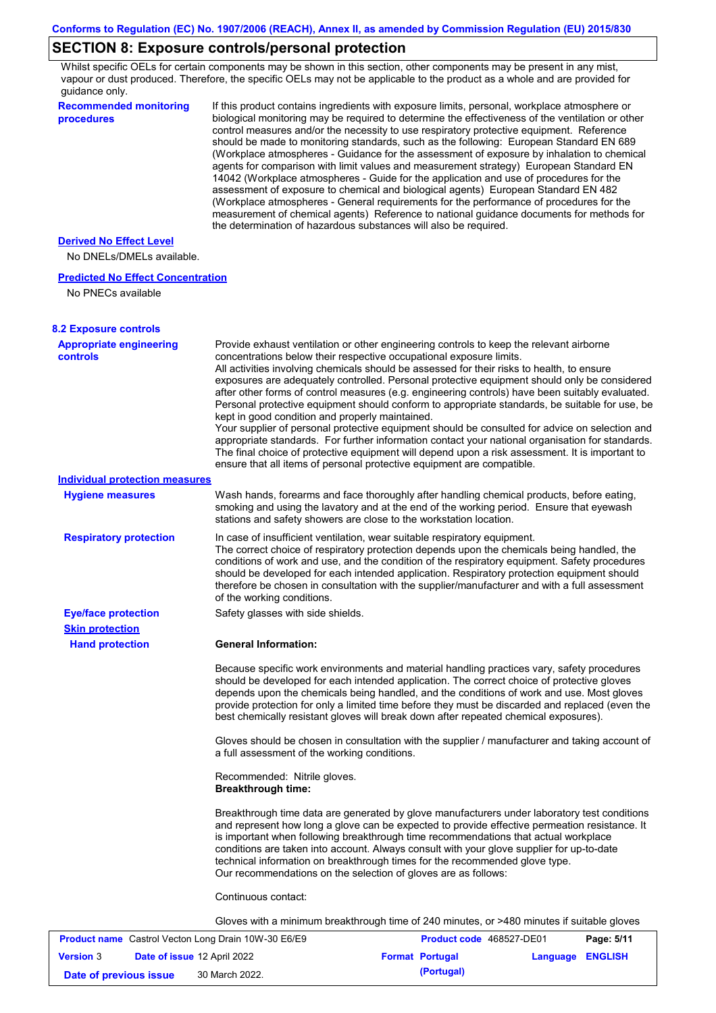# **SECTION 8: Exposure controls/personal protection**

Whilst specific OELs for certain components may be shown in this section, other components may be present in any mist, vapour or dust produced. Therefore, the specific OELs may not be applicable to the product as a whole and are provided for guidance only.

| <b>Recommended monitoring</b><br>procedures                    | If this product contains ingredients with exposure limits, personal, workplace atmosphere or<br>biological monitoring may be required to determine the effectiveness of the ventilation or other<br>control measures and/or the necessity to use respiratory protective equipment. Reference<br>should be made to monitoring standards, such as the following: European Standard EN 689<br>(Workplace atmospheres - Guidance for the assessment of exposure by inhalation to chemical<br>agents for comparison with limit values and measurement strategy) European Standard EN<br>14042 (Workplace atmospheres - Guide for the application and use of procedures for the<br>assessment of exposure to chemical and biological agents) European Standard EN 482<br>(Workplace atmospheres - General requirements for the performance of procedures for the<br>measurement of chemical agents) Reference to national guidance documents for methods for<br>the determination of hazardous substances will also be required. |                          |            |
|----------------------------------------------------------------|----------------------------------------------------------------------------------------------------------------------------------------------------------------------------------------------------------------------------------------------------------------------------------------------------------------------------------------------------------------------------------------------------------------------------------------------------------------------------------------------------------------------------------------------------------------------------------------------------------------------------------------------------------------------------------------------------------------------------------------------------------------------------------------------------------------------------------------------------------------------------------------------------------------------------------------------------------------------------------------------------------------------------|--------------------------|------------|
| <b>Derived No Effect Level</b><br>No DNELs/DMELs available.    |                                                                                                                                                                                                                                                                                                                                                                                                                                                                                                                                                                                                                                                                                                                                                                                                                                                                                                                                                                                                                            |                          |            |
| <b>Predicted No Effect Concentration</b><br>No PNECs available |                                                                                                                                                                                                                                                                                                                                                                                                                                                                                                                                                                                                                                                                                                                                                                                                                                                                                                                                                                                                                            |                          |            |
| <b>8.2 Exposure controls</b>                                   |                                                                                                                                                                                                                                                                                                                                                                                                                                                                                                                                                                                                                                                                                                                                                                                                                                                                                                                                                                                                                            |                          |            |
| <b>Appropriate engineering</b><br><b>controls</b>              | Provide exhaust ventilation or other engineering controls to keep the relevant airborne<br>concentrations below their respective occupational exposure limits.<br>All activities involving chemicals should be assessed for their risks to health, to ensure<br>exposures are adequately controlled. Personal protective equipment should only be considered<br>after other forms of control measures (e.g. engineering controls) have been suitably evaluated.<br>Personal protective equipment should conform to appropriate standards, be suitable for use, be<br>kept in good condition and properly maintained.<br>Your supplier of personal protective equipment should be consulted for advice on selection and<br>appropriate standards. For further information contact your national organisation for standards.<br>The final choice of protective equipment will depend upon a risk assessment. It is important to<br>ensure that all items of personal protective equipment are compatible.                    |                          |            |
| <b>Individual protection measures</b>                          |                                                                                                                                                                                                                                                                                                                                                                                                                                                                                                                                                                                                                                                                                                                                                                                                                                                                                                                                                                                                                            |                          |            |
| <b>Hygiene measures</b>                                        | Wash hands, forearms and face thoroughly after handling chemical products, before eating,<br>smoking and using the lavatory and at the end of the working period. Ensure that eyewash<br>stations and safety showers are close to the workstation location.                                                                                                                                                                                                                                                                                                                                                                                                                                                                                                                                                                                                                                                                                                                                                                |                          |            |
| <b>Respiratory protection</b>                                  | In case of insufficient ventilation, wear suitable respiratory equipment.<br>The correct choice of respiratory protection depends upon the chemicals being handled, the<br>conditions of work and use, and the condition of the respiratory equipment. Safety procedures<br>should be developed for each intended application. Respiratory protection equipment should<br>therefore be chosen in consultation with the supplier/manufacturer and with a full assessment<br>of the working conditions.                                                                                                                                                                                                                                                                                                                                                                                                                                                                                                                      |                          |            |
| <b>Eye/face protection</b>                                     | Safety glasses with side shields.                                                                                                                                                                                                                                                                                                                                                                                                                                                                                                                                                                                                                                                                                                                                                                                                                                                                                                                                                                                          |                          |            |
| <b>Skin protection</b>                                         |                                                                                                                                                                                                                                                                                                                                                                                                                                                                                                                                                                                                                                                                                                                                                                                                                                                                                                                                                                                                                            |                          |            |
| <b>Hand protection</b>                                         | <b>General Information:</b>                                                                                                                                                                                                                                                                                                                                                                                                                                                                                                                                                                                                                                                                                                                                                                                                                                                                                                                                                                                                |                          |            |
|                                                                | Because specific work environments and material handling practices vary, safety procedures<br>should be developed for each intended application. The correct choice of protective gloves<br>depends upon the chemicals being handled, and the conditions of work and use. Most gloves<br>provide protection for only a limited time before they must be discarded and replaced (even the<br>best chemically resistant gloves will break down after repeated chemical exposures).                                                                                                                                                                                                                                                                                                                                                                                                                                                                                                                                           |                          |            |
|                                                                | Gloves should be chosen in consultation with the supplier / manufacturer and taking account of<br>a full assessment of the working conditions.                                                                                                                                                                                                                                                                                                                                                                                                                                                                                                                                                                                                                                                                                                                                                                                                                                                                             |                          |            |
|                                                                | Recommended: Nitrile gloves.<br><b>Breakthrough time:</b>                                                                                                                                                                                                                                                                                                                                                                                                                                                                                                                                                                                                                                                                                                                                                                                                                                                                                                                                                                  |                          |            |
|                                                                | Breakthrough time data are generated by glove manufacturers under laboratory test conditions<br>and represent how long a glove can be expected to provide effective permeation resistance. It<br>is important when following breakthrough time recommendations that actual workplace<br>conditions are taken into account. Always consult with your glove supplier for up-to-date<br>technical information on breakthrough times for the recommended glove type.<br>Our recommendations on the selection of gloves are as follows:                                                                                                                                                                                                                                                                                                                                                                                                                                                                                         |                          |            |
|                                                                | Continuous contact:                                                                                                                                                                                                                                                                                                                                                                                                                                                                                                                                                                                                                                                                                                                                                                                                                                                                                                                                                                                                        |                          |            |
|                                                                | Gloves with a minimum breakthrough time of 240 minutes, or >480 minutes if suitable gloves                                                                                                                                                                                                                                                                                                                                                                                                                                                                                                                                                                                                                                                                                                                                                                                                                                                                                                                                 |                          |            |
| <b>Product name</b> Castrol Vecton Long Drain 10W-30 E6/E9     |                                                                                                                                                                                                                                                                                                                                                                                                                                                                                                                                                                                                                                                                                                                                                                                                                                                                                                                                                                                                                            | Product code 468527-DE01 | Page: 5/11 |

|                        | <b>Product name</b> Castrol Vecton Long Drain 10W-30 E6/E9 |                        | <b>Product code</b> 468527-DE01 | Page: 5/11 |
|------------------------|------------------------------------------------------------|------------------------|---------------------------------|------------|
| <b>Version 3</b>       | Date of issue 12 April 2022                                | <b>Format Portugal</b> | Language ENGLISH                |            |
| Date of previous issue | 30 March 2022.                                             | (Portugal)             |                                 |            |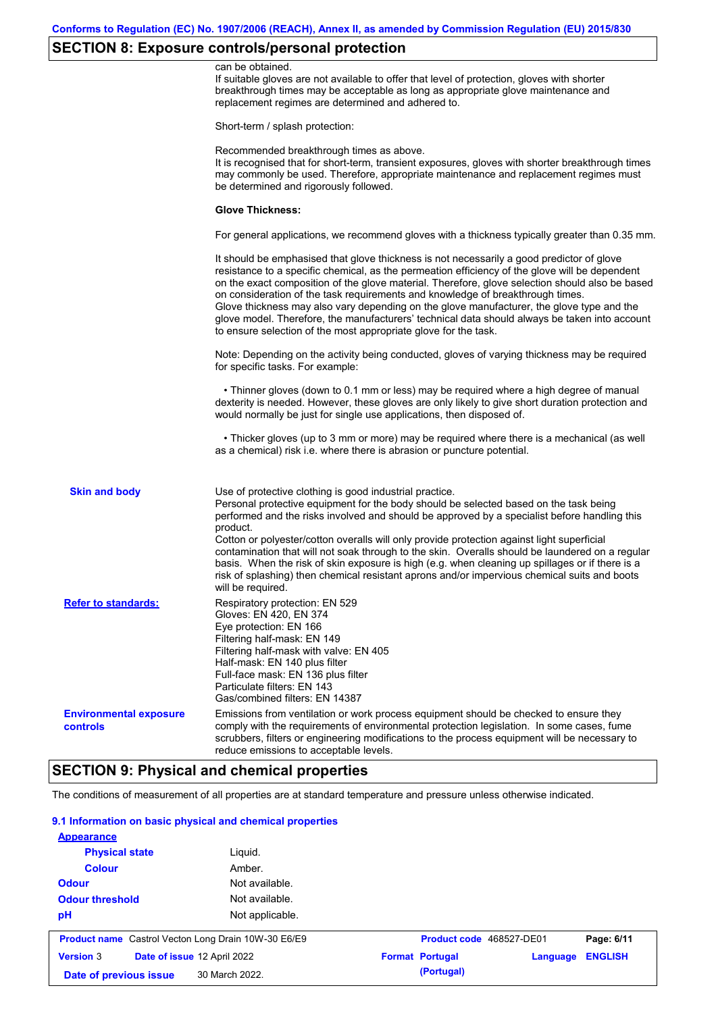# **SECTION 8: Exposure controls/personal protection**

|                                                  | can be obtained.<br>If suitable gloves are not available to offer that level of protection, gloves with shorter<br>breakthrough times may be acceptable as long as appropriate glove maintenance and<br>replacement regimes are determined and adhered to.                                                                                                                                                                                                                                                                                                                                                                                        |
|--------------------------------------------------|---------------------------------------------------------------------------------------------------------------------------------------------------------------------------------------------------------------------------------------------------------------------------------------------------------------------------------------------------------------------------------------------------------------------------------------------------------------------------------------------------------------------------------------------------------------------------------------------------------------------------------------------------|
|                                                  | Short-term / splash protection:                                                                                                                                                                                                                                                                                                                                                                                                                                                                                                                                                                                                                   |
|                                                  | Recommended breakthrough times as above.<br>It is recognised that for short-term, transient exposures, gloves with shorter breakthrough times<br>may commonly be used. Therefore, appropriate maintenance and replacement regimes must<br>be determined and rigorously followed.                                                                                                                                                                                                                                                                                                                                                                  |
|                                                  | <b>Glove Thickness:</b>                                                                                                                                                                                                                                                                                                                                                                                                                                                                                                                                                                                                                           |
|                                                  | For general applications, we recommend gloves with a thickness typically greater than 0.35 mm.                                                                                                                                                                                                                                                                                                                                                                                                                                                                                                                                                    |
|                                                  | It should be emphasised that glove thickness is not necessarily a good predictor of glove<br>resistance to a specific chemical, as the permeation efficiency of the glove will be dependent<br>on the exact composition of the glove material. Therefore, glove selection should also be based<br>on consideration of the task requirements and knowledge of breakthrough times.<br>Glove thickness may also vary depending on the glove manufacturer, the glove type and the<br>glove model. Therefore, the manufacturers' technical data should always be taken into account<br>to ensure selection of the most appropriate glove for the task. |
|                                                  | Note: Depending on the activity being conducted, gloves of varying thickness may be required<br>for specific tasks. For example:                                                                                                                                                                                                                                                                                                                                                                                                                                                                                                                  |
|                                                  | • Thinner gloves (down to 0.1 mm or less) may be required where a high degree of manual<br>dexterity is needed. However, these gloves are only likely to give short duration protection and<br>would normally be just for single use applications, then disposed of.                                                                                                                                                                                                                                                                                                                                                                              |
|                                                  | • Thicker gloves (up to 3 mm or more) may be required where there is a mechanical (as well<br>as a chemical) risk i.e. where there is abrasion or puncture potential.                                                                                                                                                                                                                                                                                                                                                                                                                                                                             |
| <b>Skin and body</b>                             | Use of protective clothing is good industrial practice.<br>Personal protective equipment for the body should be selected based on the task being<br>performed and the risks involved and should be approved by a specialist before handling this<br>product.                                                                                                                                                                                                                                                                                                                                                                                      |
|                                                  | Cotton or polyester/cotton overalls will only provide protection against light superficial<br>contamination that will not soak through to the skin. Overalls should be laundered on a regular<br>basis. When the risk of skin exposure is high (e.g. when cleaning up spillages or if there is a<br>risk of splashing) then chemical resistant aprons and/or impervious chemical suits and boots<br>will be required.                                                                                                                                                                                                                             |
| <b>Refer to standards:</b>                       | Respiratory protection: EN 529<br>Gloves: EN 420, EN 374<br>Eye protection: EN 166<br>Filtering half-mask: EN 149<br>Filtering half-mask with valve: EN 405<br>Half-mask: EN 140 plus filter<br>Full-face mask: EN 136 plus filter<br>Particulate filters: EN 143<br>Gas/combined filters: EN 14387                                                                                                                                                                                                                                                                                                                                               |
| <b>Environmental exposure</b><br><b>controls</b> | Emissions from ventilation or work process equipment should be checked to ensure they<br>comply with the requirements of environmental protection legislation. In some cases, fume<br>scrubbers, filters or engineering modifications to the process equipment will be necessary to<br>reduce emissions to acceptable levels.                                                                                                                                                                                                                                                                                                                     |
|                                                  |                                                                                                                                                                                                                                                                                                                                                                                                                                                                                                                                                                                                                                                   |

## **SECTION 9: Physical and chemical properties**

The conditions of measurement of all properties are at standard temperature and pressure unless otherwise indicated.

### **9.1 Information on basic physical and chemical properties**

| <b>Colour</b><br><b>Odour</b>                              | Amber.<br>Not available.    |                          |          |                |
|------------------------------------------------------------|-----------------------------|--------------------------|----------|----------------|
| <b>Odour threshold</b>                                     | Not available.              |                          |          |                |
| pH                                                         | Not applicable.             |                          |          |                |
| <b>Product name</b> Castrol Vecton Long Drain 10W-30 E6/E9 |                             | Product code 468527-DE01 |          | Page: 6/11     |
| <b>Version 3</b>                                           | Date of issue 12 April 2022 | <b>Format Portugal</b>   | Language | <b>ENGLISH</b> |
|                                                            |                             |                          |          |                |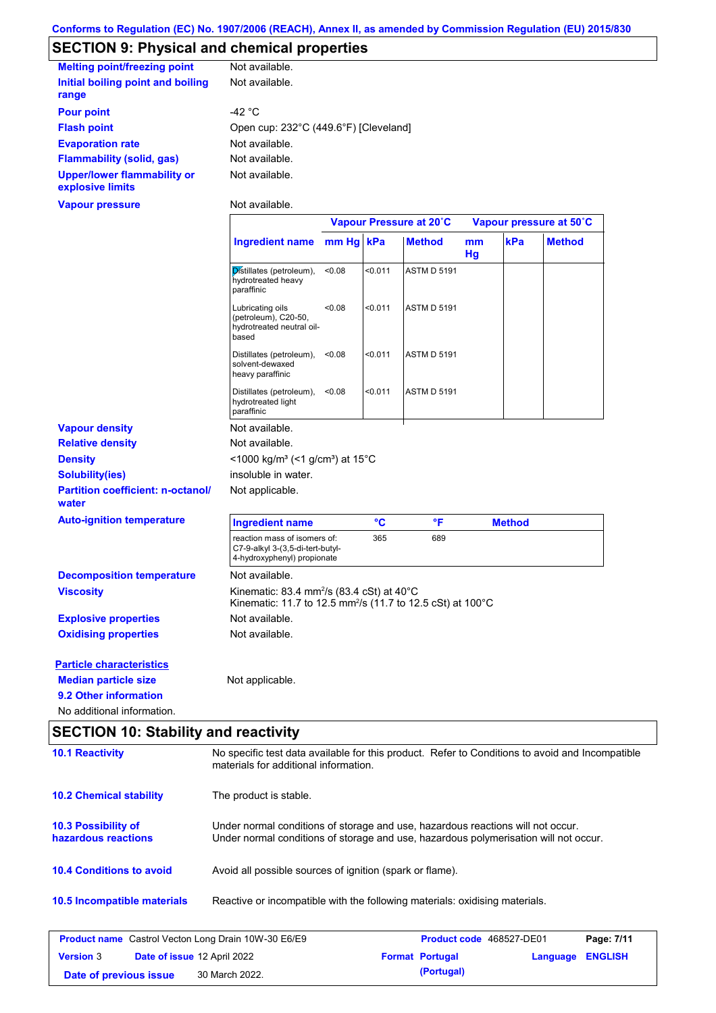# **SECTION 9: Physical and chemical properties**

| <b>Melting point/freezing point</b>                    | Not available.                        |
|--------------------------------------------------------|---------------------------------------|
| Initial boiling point and boiling                      | Not available.                        |
| range                                                  |                                       |
| <b>Pour point</b>                                      | -42 °C                                |
| <b>Flash point</b>                                     | Open cup: 232°C (449.6°F) [Cleveland] |
| <b>Evaporation rate</b>                                | Not available.                        |
| <b>Flammability (solid, gas)</b>                       | Not available.                        |
| <b>Upper/lower flammability or</b><br>explosive limits | Not available.                        |
| Vapour pressure                                        | Not available.                        |

|                                                   |                                                                                                                                 | Vapour Pressure at 20°C |         |                    | Vapour pressure at 50°C |               |               |
|---------------------------------------------------|---------------------------------------------------------------------------------------------------------------------------------|-------------------------|---------|--------------------|-------------------------|---------------|---------------|
|                                                   | <b>Ingredient name</b>                                                                                                          | mm Hq kPa               |         | <b>Method</b>      | mm<br>Hg                | kPa           | <b>Method</b> |
|                                                   | Distillates (petroleum),<br>hydrotreated heavy<br>paraffinic                                                                    | < 0.08                  | < 0.011 | <b>ASTM D 5191</b> |                         |               |               |
|                                                   | Lubricating oils<br>(petroleum), C20-50,<br>hydrotreated neutral oil-<br>based                                                  | < 0.08                  | < 0.011 | <b>ASTM D 5191</b> |                         |               |               |
|                                                   | Distillates (petroleum),<br>solvent-dewaxed<br>heavy paraffinic                                                                 | < 0.08                  | < 0.011 | <b>ASTM D 5191</b> |                         |               |               |
|                                                   | Distillates (petroleum),<br>hydrotreated light<br>paraffinic                                                                    | < 0.08                  | < 0.011 | <b>ASTM D 5191</b> |                         |               |               |
| <b>Vapour density</b>                             | Not available.                                                                                                                  |                         |         |                    |                         |               |               |
| <b>Relative density</b>                           | Not available.                                                                                                                  |                         |         |                    |                         |               |               |
| <b>Density</b>                                    | <1000 kg/m <sup>3</sup> (<1 g/cm <sup>3</sup> ) at 15 <sup>°</sup> C                                                            |                         |         |                    |                         |               |               |
| <b>Solubility(ies)</b>                            | insoluble in water.                                                                                                             |                         |         |                    |                         |               |               |
| <b>Partition coefficient: n-octanol/</b><br>water | Not applicable.                                                                                                                 |                         |         |                    |                         |               |               |
| <b>Auto-ignition temperature</b>                  | <b>Ingredient name</b>                                                                                                          |                         | °C      | °F                 |                         | <b>Method</b> |               |
|                                                   | reaction mass of isomers of:<br>C7-9-alkyl 3-(3,5-di-tert-butyl-<br>4-hydroxyphenyl) propionate                                 |                         | 365     | 689                |                         |               |               |
| <b>Decomposition temperature</b>                  | Not available.                                                                                                                  |                         |         |                    |                         |               |               |
| <b>Viscosity</b>                                  | Kinematic: 83.4 mm <sup>2</sup> /s (83.4 cSt) at 40°C<br>Kinematic: 11.7 to 12.5 mm <sup>2</sup> /s (11.7 to 12.5 cSt) at 100°C |                         |         |                    |                         |               |               |
| <b>Explosive properties</b>                       | Not available.                                                                                                                  |                         |         |                    |                         |               |               |
| <b>Oxidising properties</b>                       | Not available.                                                                                                                  |                         |         |                    |                         |               |               |
| <b>Particle characteristics</b>                   |                                                                                                                                 |                         |         |                    |                         |               |               |
| <b>Median particle size</b>                       | Not applicable.                                                                                                                 |                         |         |                    |                         |               |               |
| 9.2 Other information                             |                                                                                                                                 |                         |         |                    |                         |               |               |
| No additional information.                        |                                                                                                                                 |                         |         |                    |                         |               |               |

# **SECTION 10: Stability and reactivity**

| <b>10.1 Reactivity</b>                                     | No specific test data available for this product. Refer to Conditions to avoid and Incompatible<br>materials for additional information.                                |                          |          |                |
|------------------------------------------------------------|-------------------------------------------------------------------------------------------------------------------------------------------------------------------------|--------------------------|----------|----------------|
| <b>10.2 Chemical stability</b>                             | The product is stable.                                                                                                                                                  |                          |          |                |
| <b>10.3 Possibility of</b><br>hazardous reactions          | Under normal conditions of storage and use, hazardous reactions will not occur.<br>Under normal conditions of storage and use, hazardous polymerisation will not occur. |                          |          |                |
| <b>10.4 Conditions to avoid</b>                            | Avoid all possible sources of ignition (spark or flame).                                                                                                                |                          |          |                |
| <b>10.5 Incompatible materials</b>                         | Reactive or incompatible with the following materials: oxidising materials.                                                                                             |                          |          |                |
| <b>Product name</b> Castrol Vecton Long Drain 10W-30 E6/E9 |                                                                                                                                                                         | Product code 468527-DE01 |          | Page: 7/11     |
| <b>Version 3</b><br>Date of issue 12 April 2022            |                                                                                                                                                                         | <b>Format Portugal</b>   | Language | <b>ENGLISH</b> |

**Date of previous issue 30 March 2022. (Portugal)**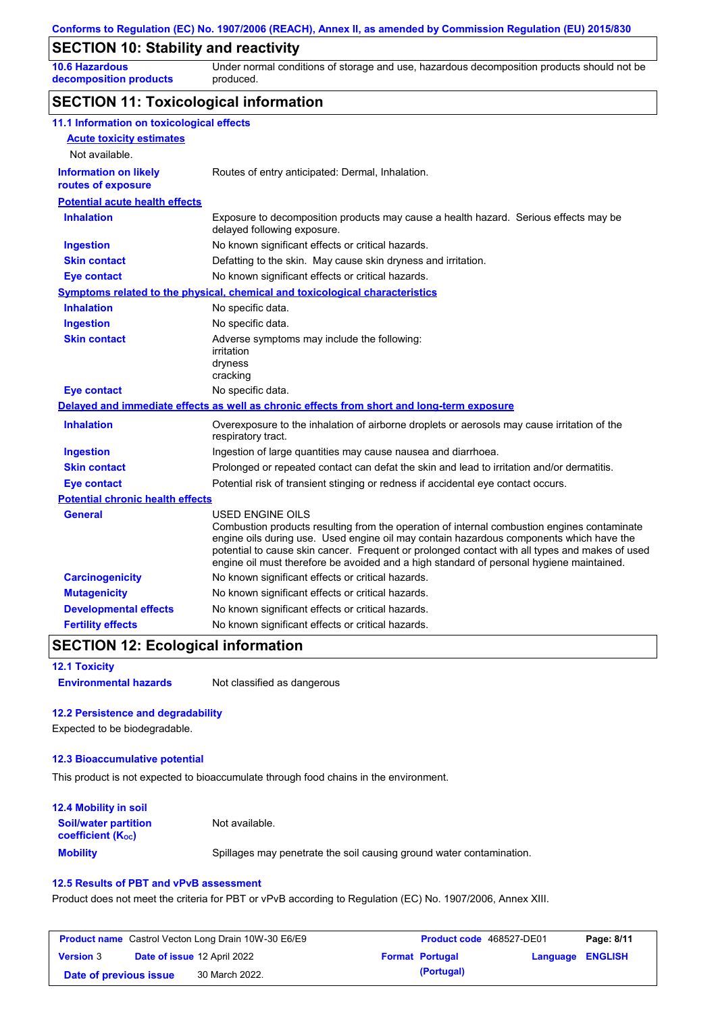## **SECTION 10: Stability and reactivity**

**10.6 Hazardous decomposition products** Under normal conditions of storage and use, hazardous decomposition products should not be produced.

## **SECTION 11: Toxicological information**

| 11.1 Information on toxicological effects          |                                                                                                                                                                                                                                                                                                                                                                                                                 |
|----------------------------------------------------|-----------------------------------------------------------------------------------------------------------------------------------------------------------------------------------------------------------------------------------------------------------------------------------------------------------------------------------------------------------------------------------------------------------------|
| <b>Acute toxicity estimates</b>                    |                                                                                                                                                                                                                                                                                                                                                                                                                 |
| Not available.                                     |                                                                                                                                                                                                                                                                                                                                                                                                                 |
| <b>Information on likely</b><br>routes of exposure | Routes of entry anticipated: Dermal, Inhalation.                                                                                                                                                                                                                                                                                                                                                                |
| <b>Potential acute health effects</b>              |                                                                                                                                                                                                                                                                                                                                                                                                                 |
| <b>Inhalation</b>                                  | Exposure to decomposition products may cause a health hazard. Serious effects may be<br>delayed following exposure.                                                                                                                                                                                                                                                                                             |
| <b>Ingestion</b>                                   | No known significant effects or critical hazards.                                                                                                                                                                                                                                                                                                                                                               |
| <b>Skin contact</b>                                | Defatting to the skin. May cause skin dryness and irritation.                                                                                                                                                                                                                                                                                                                                                   |
| <b>Eye contact</b>                                 | No known significant effects or critical hazards.                                                                                                                                                                                                                                                                                                                                                               |
|                                                    | Symptoms related to the physical, chemical and toxicological characteristics                                                                                                                                                                                                                                                                                                                                    |
| <b>Inhalation</b>                                  | No specific data.                                                                                                                                                                                                                                                                                                                                                                                               |
| <b>Ingestion</b>                                   | No specific data.                                                                                                                                                                                                                                                                                                                                                                                               |
| <b>Skin contact</b>                                | Adverse symptoms may include the following:<br>irritation<br>dryness<br>cracking                                                                                                                                                                                                                                                                                                                                |
| <b>Eye contact</b>                                 | No specific data.                                                                                                                                                                                                                                                                                                                                                                                               |
|                                                    | Delayed and immediate effects as well as chronic effects from short and long-term exposure                                                                                                                                                                                                                                                                                                                      |
| <b>Inhalation</b>                                  | Overexposure to the inhalation of airborne droplets or aerosols may cause irritation of the<br>respiratory tract.                                                                                                                                                                                                                                                                                               |
| <b>Ingestion</b>                                   | Ingestion of large quantities may cause nausea and diarrhoea.                                                                                                                                                                                                                                                                                                                                                   |
| <b>Skin contact</b>                                | Prolonged or repeated contact can defat the skin and lead to irritation and/or dermatitis.                                                                                                                                                                                                                                                                                                                      |
| <b>Eye contact</b>                                 | Potential risk of transient stinging or redness if accidental eye contact occurs.                                                                                                                                                                                                                                                                                                                               |
| <b>Potential chronic health effects</b>            |                                                                                                                                                                                                                                                                                                                                                                                                                 |
| General                                            | <b>USED ENGINE OILS</b><br>Combustion products resulting from the operation of internal combustion engines contaminate<br>engine oils during use. Used engine oil may contain hazardous components which have the<br>potential to cause skin cancer. Frequent or prolonged contact with all types and makes of used<br>engine oil must therefore be avoided and a high standard of personal hygiene maintained. |
| <b>Carcinogenicity</b>                             | No known significant effects or critical hazards.                                                                                                                                                                                                                                                                                                                                                               |
| <b>Mutagenicity</b>                                | No known significant effects or critical hazards.                                                                                                                                                                                                                                                                                                                                                               |
| <b>Developmental effects</b>                       | No known significant effects or critical hazards.                                                                                                                                                                                                                                                                                                                                                               |
| <b>Fertility effects</b>                           | No known significant effects or critical hazards.                                                                                                                                                                                                                                                                                                                                                               |

### **SECTION 12: Ecological information**

|  |  | <b>12.1 Toxicity</b> |  |  |
|--|--|----------------------|--|--|
|--|--|----------------------|--|--|

**Environmental hazards** Not classified as dangerous

#### **12.2 Persistence and degradability**

Expected to be biodegradable.

#### **12.3 Bioaccumulative potential**

This product is not expected to bioaccumulate through food chains in the environment.

| <b>12.4 Mobility in soil</b>                                  |                                                                      |
|---------------------------------------------------------------|----------------------------------------------------------------------|
| <b>Soil/water partition</b><br>coefficient (K <sub>oc</sub> ) | Not available.                                                       |
| <b>Mobility</b>                                               | Spillages may penetrate the soil causing ground water contamination. |

#### **12.5 Results of PBT and vPvB assessment**

Product does not meet the criteria for PBT or vPvB according to Regulation (EC) No. 1907/2006, Annex XIII.

| <b>Product name</b> Castrol Vecton Long Drain 10W-30 E6/E9 |  |                                    | Product code 468527-DE01 |                        | Page: 8/11              |  |
|------------------------------------------------------------|--|------------------------------------|--------------------------|------------------------|-------------------------|--|
| <b>Version 3</b>                                           |  | <b>Date of issue 12 April 2022</b> |                          | <b>Format Portugal</b> | <b>Language ENGLISH</b> |  |
| Date of previous issue                                     |  | 30 March 2022.                     |                          | (Portugal)             |                         |  |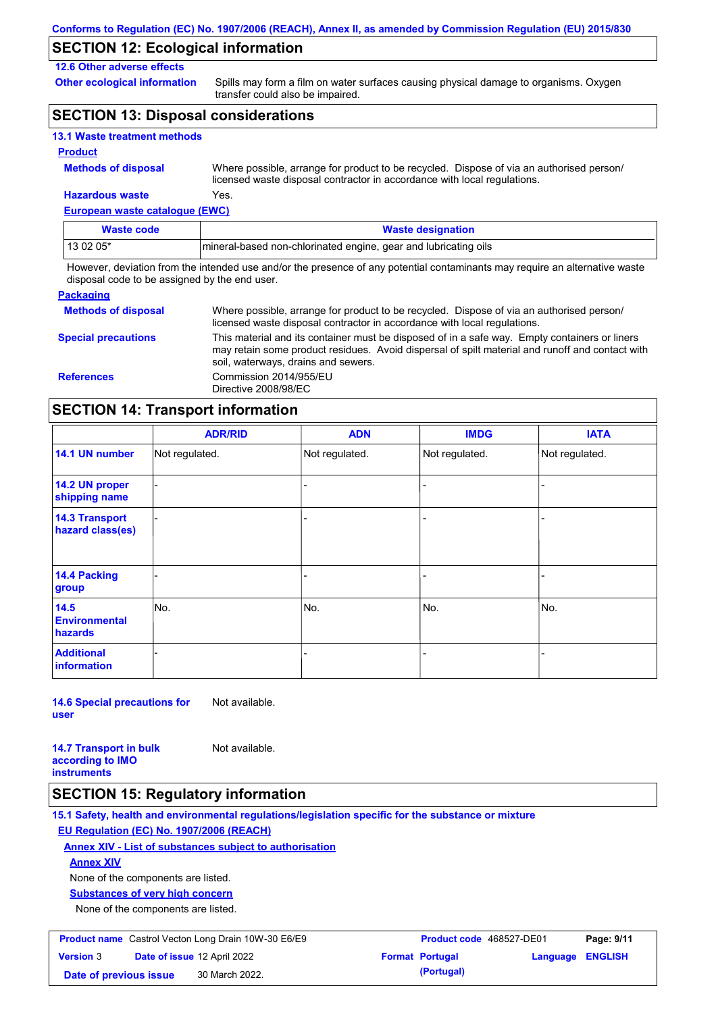## **SECTION 12: Ecological information**

### **12.6 Other adverse effects**

**Other ecological information**

Spills may form a film on water surfaces causing physical damage to organisms. Oxygen transfer could also be impaired.

## **SECTION 13: Disposal considerations**

|  |  | <b>13.1 Waste treatment methods</b> |  |
|--|--|-------------------------------------|--|
|--|--|-------------------------------------|--|

#### **Product**

| <b>Methods of disposal</b> |
|----------------------------|
|----------------------------|

**Hazardous waste** Yes. Where possible, arrange for product to be recycled. Dispose of via an authorised person/ licensed waste disposal contractor in accordance with local regulations.

**European waste catalogue (EWC)**

| Waste code | <b>Waste designation</b>                                         |
|------------|------------------------------------------------------------------|
| 13 02 05*  | Imineral-based non-chlorinated engine, gear and lubricating oils |

However, deviation from the intended use and/or the presence of any potential contaminants may require an alternative waste disposal code to be assigned by the end user.

| <b>Packaging</b>           |                                                                                                                                                                                                                                         |
|----------------------------|-----------------------------------------------------------------------------------------------------------------------------------------------------------------------------------------------------------------------------------------|
| <b>Methods of disposal</b> | Where possible, arrange for product to be recycled. Dispose of via an authorised person/<br>licensed waste disposal contractor in accordance with local regulations.                                                                    |
| <b>Special precautions</b> | This material and its container must be disposed of in a safe way. Empty containers or liners<br>may retain some product residues. Avoid dispersal of spilt material and runoff and contact with<br>soil, waterways, drains and sewers. |
| <b>References</b>          | Commission 2014/955/EU<br>Directive 2008/98/EC                                                                                                                                                                                          |

## **SECTION 14: Transport information**

|                                           | <b>ADR/RID</b> | <b>ADN</b>     | <b>IMDG</b>    | <b>IATA</b>    |
|-------------------------------------------|----------------|----------------|----------------|----------------|
| 14.1 UN number                            | Not regulated. | Not regulated. | Not regulated. | Not regulated. |
| 14.2 UN proper<br>shipping name           |                |                |                |                |
| <b>14.3 Transport</b><br>hazard class(es) |                |                |                |                |
| 14.4 Packing<br>group                     |                |                |                |                |
| 14.5<br><b>Environmental</b><br>hazards   | No.            | No.            | No.            | No.            |
| <b>Additional</b><br>information          |                |                |                |                |

**14.6 Special precautions for user** Not available.

**14.7 Transport in bulk according to IMO instruments** Not available.

### **SECTION 15: Regulatory information**

**15.1 Safety, health and environmental regulations/legislation specific for the substance or mixture EU Regulation (EC) No. 1907/2006 (REACH)**

#### **Annex XIV - List of substances subject to authorisation**

**Annex XIV**

None of the components are listed.

**Substances of very high concern**

None of the components are listed.

| <b>Product name</b> Castrol Vecton Long Drain 10W-30 E6/E9 |  |                                    | <b>Product code</b> 468527-DE01 |                        | Page: 9/11              |  |
|------------------------------------------------------------|--|------------------------------------|---------------------------------|------------------------|-------------------------|--|
| <b>Version 3</b>                                           |  | <b>Date of issue 12 April 2022</b> |                                 | <b>Format Portugal</b> | <b>Language ENGLISH</b> |  |
| Date of previous issue                                     |  | 30 March 2022.                     |                                 | (Portugal)             |                         |  |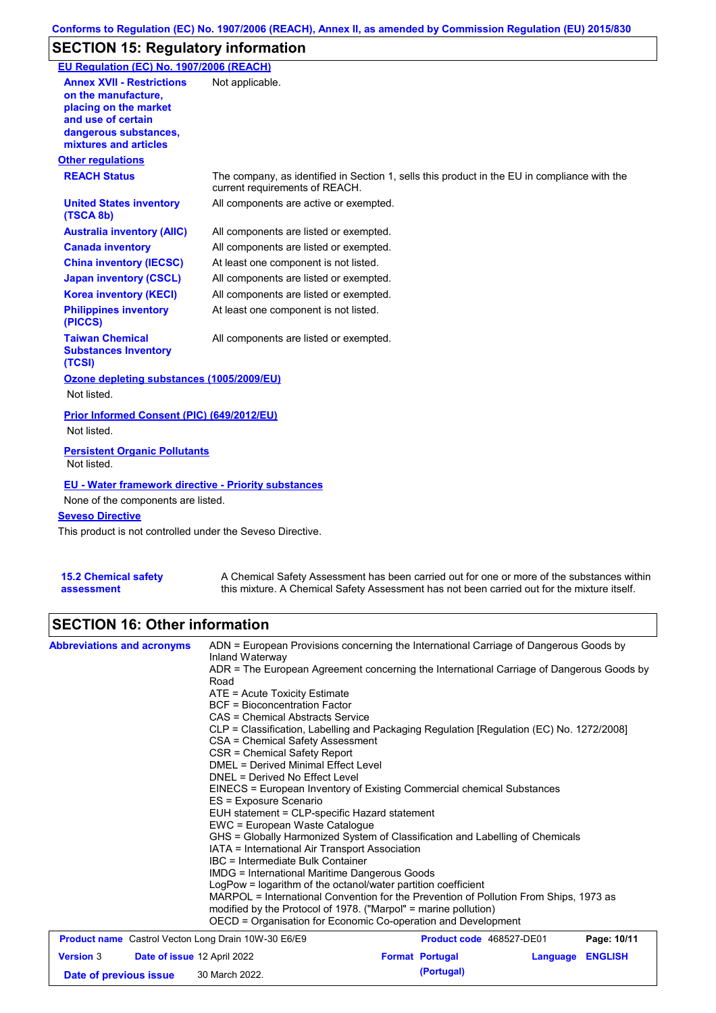## **SECTION 15: Regulatory information**

| EU Regulation (EC) No. 1907/2006 (REACH)                                                                                                                 |                                                                                                                                |
|----------------------------------------------------------------------------------------------------------------------------------------------------------|--------------------------------------------------------------------------------------------------------------------------------|
| <b>Annex XVII - Restrictions</b><br>on the manufacture.<br>placing on the market<br>and use of certain<br>dangerous substances,<br>mixtures and articles | Not applicable.                                                                                                                |
| <b>Other regulations</b>                                                                                                                                 |                                                                                                                                |
| <b>REACH Status</b>                                                                                                                                      | The company, as identified in Section 1, sells this product in the EU in compliance with the<br>current requirements of REACH. |
| <b>United States inventory</b><br>(TSCA 8b)                                                                                                              | All components are active or exempted.                                                                                         |
| <b>Australia inventory (AIIC)</b>                                                                                                                        | All components are listed or exempted.                                                                                         |
| <b>Canada inventory</b>                                                                                                                                  | All components are listed or exempted.                                                                                         |
| <b>China inventory (IECSC)</b>                                                                                                                           | At least one component is not listed.                                                                                          |
| <b>Japan inventory (CSCL)</b>                                                                                                                            | All components are listed or exempted.                                                                                         |
| <b>Korea inventory (KECI)</b>                                                                                                                            | All components are listed or exempted.                                                                                         |
| <b>Philippines inventory</b><br>(PICCS)                                                                                                                  | At least one component is not listed.                                                                                          |
| <b>Taiwan Chemical</b><br><b>Substances Inventory</b><br>(TCSI)                                                                                          | All components are listed or exempted.                                                                                         |
| Ozone depleting substances (1005/2009/EU)                                                                                                                |                                                                                                                                |
| Not listed.                                                                                                                                              |                                                                                                                                |
| Prior Informed Consent (PIC) (649/2012/EU)<br>Not listed.                                                                                                |                                                                                                                                |
| <b>Persistent Organic Pollutants</b><br>Not listed.                                                                                                      |                                                                                                                                |
| <b>EU - Water framework directive - Priority substances</b><br>None of the components are listed.<br><b>Seveso Directive</b>                             |                                                                                                                                |
| This product is not controlled under the Seveso Directive.                                                                                               |                                                                                                                                |
|                                                                                                                                                          |                                                                                                                                |

| <b>15.2 Chemical safety</b> |  |
|-----------------------------|--|
| assessment                  |  |

A Chemical Safety Assessment has been carried out for one or more of the substances within this mixture. A Chemical Safety Assessment has not been carried out for the mixture itself.

## **SECTION 16: Other information**

| <b>Abbreviations and acronyms</b>                                         | ADN = European Provisions concerning the International Carriage of Dangerous Goods by<br>Inland Waterway<br>ADR = The European Agreement concerning the International Carriage of Dangerous Goods by<br>Road<br>ATE = Acute Toxicity Estimate<br><b>BCF</b> = Bioconcentration Factor<br>CAS = Chemical Abstracts Service<br>CLP = Classification, Labelling and Packaging Regulation [Regulation (EC) No. 1272/2008]<br>CSA = Chemical Safety Assessment<br>CSR = Chemical Safety Report<br><b>DMEL = Derived Minimal Effect Level</b><br>DNEL = Derived No Effect Level<br>EINECS = European Inventory of Existing Commercial chemical Substances<br>ES = Exposure Scenario<br>EUH statement = CLP-specific Hazard statement<br>EWC = European Waste Catalogue<br>GHS = Globally Harmonized System of Classification and Labelling of Chemicals<br>IATA = International Air Transport Association<br>IBC = Intermediate Bulk Container<br><b>IMDG</b> = International Maritime Dangerous Goods<br>LogPow = logarithm of the octanol/water partition coefficient<br>MARPOL = International Convention for the Prevention of Pollution From Ships, 1973 as<br>modified by the Protocol of 1978. ("Marpol" = marine pollution) |                                      |          |                |
|---------------------------------------------------------------------------|-------------------------------------------------------------------------------------------------------------------------------------------------------------------------------------------------------------------------------------------------------------------------------------------------------------------------------------------------------------------------------------------------------------------------------------------------------------------------------------------------------------------------------------------------------------------------------------------------------------------------------------------------------------------------------------------------------------------------------------------------------------------------------------------------------------------------------------------------------------------------------------------------------------------------------------------------------------------------------------------------------------------------------------------------------------------------------------------------------------------------------------------------------------------------------------------------------------------------------|--------------------------------------|----------|----------------|
|                                                                           | OECD = Organisation for Economic Co-operation and Development                                                                                                                                                                                                                                                                                                                                                                                                                                                                                                                                                                                                                                                                                                                                                                                                                                                                                                                                                                                                                                                                                                                                                                 |                                      |          |                |
| <b>Product name</b> Castrol Vecton Long Drain 10W-30 E6/E9                |                                                                                                                                                                                                                                                                                                                                                                                                                                                                                                                                                                                                                                                                                                                                                                                                                                                                                                                                                                                                                                                                                                                                                                                                                               | Product code 468527-DE01             |          | Page: 10/11    |
| <b>Version 3</b><br>Date of issue 12 April 2022<br>Date of previous issue | 30 March 2022.                                                                                                                                                                                                                                                                                                                                                                                                                                                                                                                                                                                                                                                                                                                                                                                                                                                                                                                                                                                                                                                                                                                                                                                                                | <b>Format Portugal</b><br>(Portugal) | Language | <b>ENGLISH</b> |